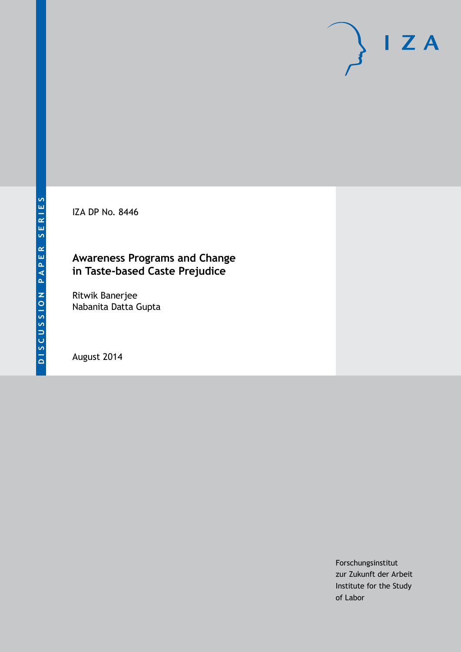IZA DP No. 8446

## **Awareness Programs and Change in Taste-based Caste Prejudice**

Ritwik Banerjee Nabanita Datta Gupta

August 2014

Forschungsinstitut zur Zukunft der Arbeit Institute for the Study of Labor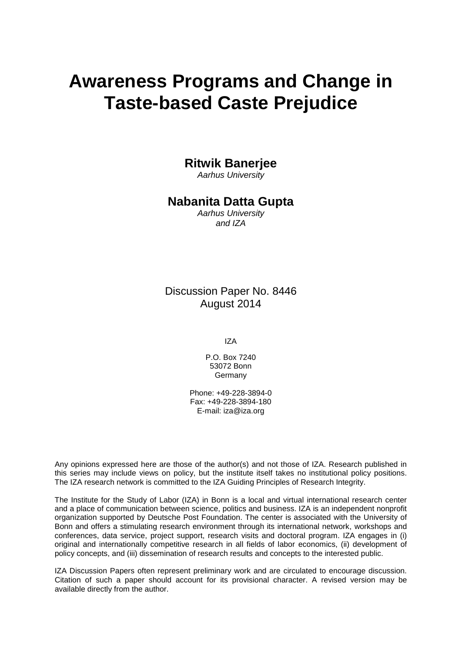# **Awareness Programs and Change in Taste-based Caste Prejudice**

## **Ritwik Banerjee**

*Aarhus University*

## **Nabanita Datta Gupta**

*Aarhus University and IZA*

Discussion Paper No. 8446 August 2014

IZA

P.O. Box 7240 53072 Bonn Germany

Phone: +49-228-3894-0 Fax: +49-228-3894-180 E-mail: [iza@iza.org](mailto:iza@iza.org)

Any opinions expressed here are those of the author(s) and not those of IZA. Research published in this series may include views on policy, but the institute itself takes no institutional policy positions. The IZA research network is committed to the IZA Guiding Principles of Research Integrity.

The Institute for the Study of Labor (IZA) in Bonn is a local and virtual international research center and a place of communication between science, politics and business. IZA is an independent nonprofit organization supported by Deutsche Post Foundation. The center is associated with the University of Bonn and offers a stimulating research environment through its international network, workshops and conferences, data service, project support, research visits and doctoral program. IZA engages in (i) original and internationally competitive research in all fields of labor economics, (ii) development of policy concepts, and (iii) dissemination of research results and concepts to the interested public.

<span id="page-1-0"></span>IZA Discussion Papers often represent preliminary work and are circulated to encourage discussion. Citation of such a paper should account for its provisional character. A revised version may be available directly from the author.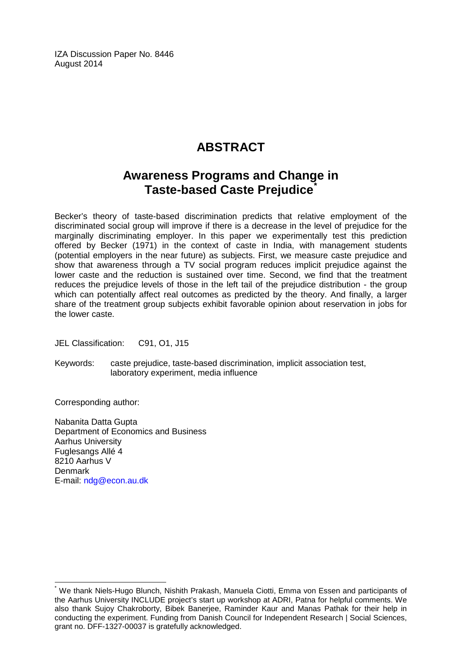IZA Discussion Paper No. 8446 August 2014

# **ABSTRACT**

# **Awareness Programs and Change in Taste-based Caste Prejudice[\\*](#page-1-0)**

Becker's theory of taste-based discrimination predicts that relative employment of the discriminated social group will improve if there is a decrease in the level of prejudice for the marginally discriminating employer. In this paper we experimentally test this prediction offered by Becker (1971) in the context of caste in India, with management students (potential employers in the near future) as subjects. First, we measure caste prejudice and show that awareness through a TV social program reduces implicit prejudice against the lower caste and the reduction is sustained over time. Second, we find that the treatment reduces the prejudice levels of those in the left tail of the prejudice distribution - the group which can potentially affect real outcomes as predicted by the theory. And finally, a larger share of the treatment group subjects exhibit favorable opinion about reservation in jobs for the lower caste.

JEL Classification: C91, O1, J15

Keywords: caste prejudice, taste-based discrimination, implicit association test, laboratory experiment, media influence

Corresponding author:

Nabanita Datta Gupta Department of Economics and Business Aarhus University Fuglesangs Allé 4 8210 Aarhus V Denmark E-mail: [ndg@econ.au.dk](mailto:ndg@econ.au.dk)

We thank Niels-Hugo Blunch, Nishith Prakash, Manuela Ciotti, Emma von Essen and participants of the Aarhus University INCLUDE project's start up workshop at ADRI, Patna for helpful comments. We also thank Sujoy Chakroborty, Bibek Banerjee, Raminder Kaur and Manas Pathak for their help in conducting the experiment. Funding from Danish Council for Independent Research | Social Sciences, grant no. DFF-1327-00037 is gratefully acknowledged.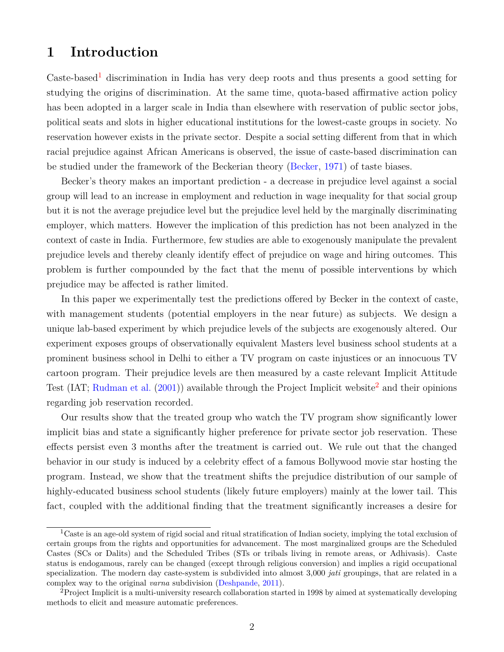## **1 Introduction**

Caste-based<sup>[1](#page--1-0)</sup> discrimination in India has very deep roots and thus presents a good setting for studying the origins of discrimination. At the same time, quota-based affirmative action policy has been adopted in a larger scale in India than elsewhere with reservation of public sector jobs, political seats and slots in higher educational institutions for the lowest-caste groups in society. No reservation however exists in the private sector. Despite a social setting different from that in which racial prejudice against African Americans is observed, the issue of caste-based discrimination can be studied under the framework of the Beckerian theory [\(Becker,](#page-16-0) [1971\)](#page-16-0) of taste biases.

Becker's theory makes an important prediction - a decrease in prejudice level against a social group will lead to an increase in employment and reduction in wage inequality for that social group but it is not the average prejudice level but the prejudice level held by the marginally discriminating employer, which matters. However the implication of this prediction has not been analyzed in the context of caste in India. Furthermore, few studies are able to exogenously manipulate the prevalent prejudice levels and thereby cleanly identify effect of prejudice on wage and hiring outcomes. This problem is further compounded by the fact that the menu of possible interventions by which prejudice may be affected is rather limited.

In this paper we experimentally test the predictions offered by Becker in the context of caste, with management students (potential employers in the near future) as subjects. We design a unique lab-based experiment by which prejudice levels of the subjects are exogenously altered. Our experiment exposes groups of observationally equivalent Masters level business school students at a prominent business school in Delhi to either a TV program on caste injustices or an innocuous TV cartoon program. Their prejudice levels are then measured by a caste relevant Implicit Attitude Test (IAT; [Rudman et al.](#page-18-0) [\(2001\)](#page-18-0)) available through the Project Implicit website<sup>[2](#page--1-0)</sup> and their opinions regarding job reservation recorded.

Our results show that the treated group who watch the TV program show significantly lower implicit bias and state a significantly higher preference for private sector job reservation. These effects persist even 3 months after the treatment is carried out. We rule out that the changed behavior in our study is induced by a celebrity effect of a famous Bollywood movie star hosting the program. Instead, we show that the treatment shifts the prejudice distribution of our sample of highly-educated business school students (likely future employers) mainly at the lower tail. This fact, coupled with the additional finding that the treatment significantly increases a desire for

<sup>1</sup>Caste is an age-old system of rigid social and ritual stratification of Indian society, implying the total exclusion of certain groups from the rights and opportunities for advancement. The most marginalized groups are the Scheduled Castes (SCs or Dalits) and the Scheduled Tribes (STs or tribals living in remote areas, or Adhivasis). Caste status is endogamous, rarely can be changed (except through religious conversion) and implies a rigid occupational specialization. The modern day caste-system is subdivided into almost 3,000 *jati* groupings, that are related in a complex way to the original *varna* subdivision [\(Deshpande,](#page-17-0) [2011\)](#page-17-0).

 ${}^{2}P$ roject Implicit is a multi-university research collaboration started in 1998 by aimed at systematically developing methods to elicit and measure automatic preferences.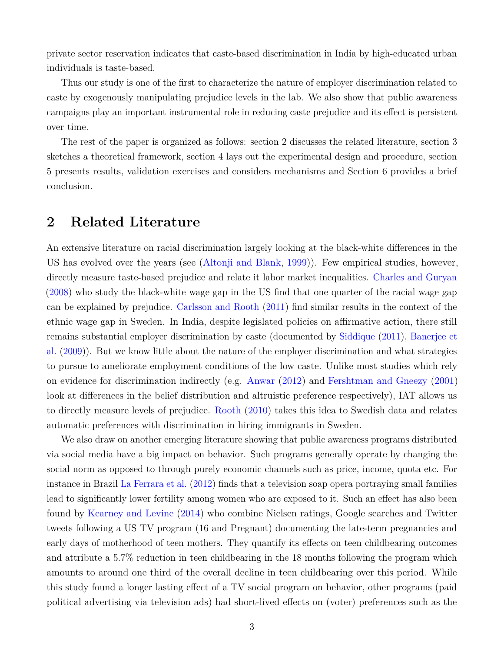private sector reservation indicates that caste-based discrimination in India by high-educated urban individuals is taste-based.

Thus our study is one of the first to characterize the nature of employer discrimination related to caste by exogenously manipulating prejudice levels in the lab. We also show that public awareness campaigns play an important instrumental role in reducing caste prejudice and its effect is persistent over time.

The rest of the paper is organized as follows: section 2 discusses the related literature, section 3 sketches a theoretical framework, section 4 lays out the experimental design and procedure, section 5 presents results, validation exercises and considers mechanisms and Section 6 provides a brief conclusion.

## **2 Related Literature**

An extensive literature on racial discrimination largely looking at the black-white differences in the US has evolved over the years (see [\(Altonji and Blank,](#page-16-1) [1999\)](#page-16-1)). Few empirical studies, however, directly measure taste-based prejudice and relate it labor market inequalities. [Charles and Guryan](#page-17-1) [\(2008\)](#page-17-1) who study the black-white wage gap in the US find that one quarter of the racial wage gap can be explained by prejudice. [Carlsson and Rooth](#page-16-2) [\(2011\)](#page-16-2) find similar results in the context of the ethnic wage gap in Sweden. In India, despite legislated policies on affirmative action, there still remains substantial employer discrimination by caste (documented by [Siddique](#page-18-1) [\(2011\)](#page-18-1), [Banerjee et](#page-16-3) [al.](#page-16-3) [\(2009\)](#page-16-3)). But we know little about the nature of the employer discrimination and what strategies to pursue to ameliorate employment conditions of the low caste. Unlike most studies which rely on evidence for discrimination indirectly (e.g. [Anwar](#page-16-4) [\(2012\)](#page-16-4) and [Fershtman and Gneezy](#page-17-2) [\(2001\)](#page-17-2) look at differences in the belief distribution and altruistic preference respectively), IAT allows us to directly measure levels of prejudice. [Rooth](#page-18-2) [\(2010\)](#page-18-2) takes this idea to Swedish data and relates automatic preferences with discrimination in hiring immigrants in Sweden.

We also draw on another emerging literature showing that public awareness programs distributed via social media have a big impact on behavior. Such programs generally operate by changing the social norm as opposed to through purely economic channels such as price, income, quota etc. For instance in Brazil [La Ferrara et al.](#page-17-3) [\(2012\)](#page-17-3) finds that a television soap opera portraying small families lead to significantly lower fertility among women who are exposed to it. Such an effect has also been found by [Kearney and Levine](#page-17-4) [\(2014\)](#page-17-4) who combine Nielsen ratings, Google searches and Twitter tweets following a US TV program (16 and Pregnant) documenting the late-term pregnancies and early days of motherhood of teen mothers. They quantify its effects on teen childbearing outcomes and attribute a 5.7% reduction in teen childbearing in the 18 months following the program which amounts to around one third of the overall decline in teen childbearing over this period. While this study found a longer lasting effect of a TV social program on behavior, other programs (paid political advertising via television ads) had short-lived effects on (voter) preferences such as the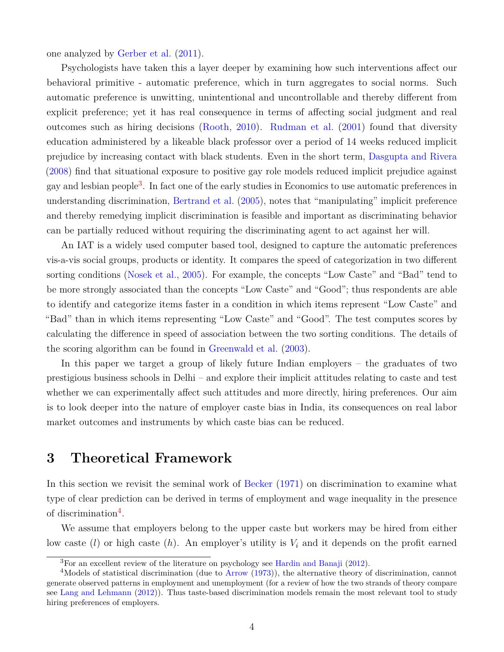one analyzed by [Gerber et al.](#page-17-5) [\(2011\)](#page-17-5).

Psychologists have taken this a layer deeper by examining how such interventions affect our behavioral primitive - automatic preference, which in turn aggregates to social norms. Such automatic preference is unwitting, unintentional and uncontrollable and thereby different from explicit preference; yet it has real consequence in terms of affecting social judgment and real outcomes such as hiring decisions [\(Rooth,](#page-18-2) [2010\)](#page-18-2). [Rudman et al.](#page-18-0) [\(2001\)](#page-18-0) found that diversity education administered by a likeable black professor over a period of 14 weeks reduced implicit prejudice by increasing contact with black students. Even in the short term, [Dasgupta and Rivera](#page-17-6) [\(2008\)](#page-17-6) find that situational exposure to positive gay role models reduced implicit prejudice against gay and lesbian people[3](#page--1-0) . In fact one of the early studies in Economics to use automatic preferences in understanding discrimination, [Bertrand et al.](#page-16-5) [\(2005\)](#page-16-5), notes that "manipulating" implicit preference and thereby remedying implicit discrimination is feasible and important as discriminating behavior can be partially reduced without requiring the discriminating agent to act against her will.

An IAT is a widely used computer based tool, designed to capture the automatic preferences vis-a-vis social groups, products or identity. It compares the speed of categorization in two different sorting conditions [\(Nosek et al.,](#page-18-3) [2005\)](#page-18-3). For example, the concepts "Low Caste" and "Bad" tend to be more strongly associated than the concepts "Low Caste" and "Good"; thus respondents are able to identify and categorize items faster in a condition in which items represent "Low Caste" and "Bad" than in which items representing "Low Caste" and "Good". The test computes scores by calculating the difference in speed of association between the two sorting conditions. The details of the scoring algorithm can be found in [Greenwald et al.](#page-17-7) [\(2003\)](#page-17-7).

In this paper we target a group of likely future Indian employers – the graduates of two prestigious business schools in Delhi – and explore their implicit attitudes relating to caste and test whether we can experimentally affect such attitudes and more directly, hiring preferences. Our aim is to look deeper into the nature of employer caste bias in India, its consequences on real labor market outcomes and instruments by which caste bias can be reduced.

# **3 Theoretical Framework**

In this section we revisit the seminal work of [Becker](#page-16-0) [\(1971\)](#page-16-0) on discrimination to examine what type of clear prediction can be derived in terms of employment and wage inequality in the presence of discrimination<sup>[4](#page--1-0)</sup>.

We assume that employers belong to the upper caste but workers may be hired from either low caste (*l*) or high caste (*h*). An employer's utility is *V<sup>i</sup>* and it depends on the profit earned

<sup>3</sup>For an excellent review of the literature on psychology see [Hardin and Banaji](#page-17-8) [\(2012\)](#page-17-8).

<sup>&</sup>lt;sup>4</sup>Models of statistical discrimination (due to [Arrow](#page-16-6) [\(1973\)](#page-16-6)), the alternative theory of discrimination, cannot generate observed patterns in employment and unemployment (for a review of how the two strands of theory compare see [Lang and Lehmann](#page-17-9) [\(2012\)](#page-17-9)). Thus taste-based discrimination models remain the most relevant tool to study hiring preferences of employers.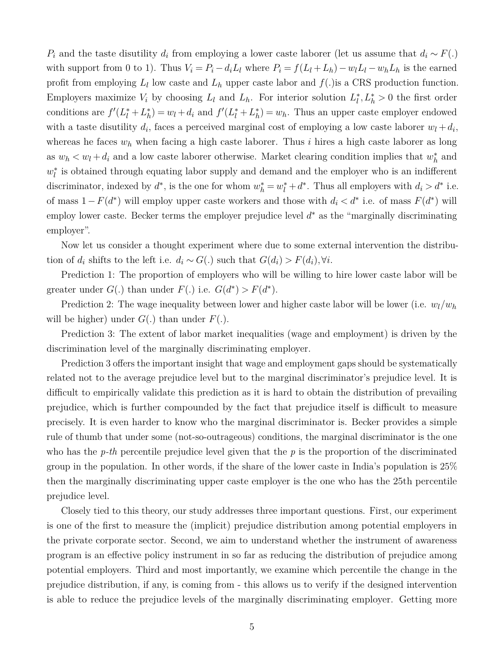*P*<sup>*i*</sup> and the taste disutility *d*<sup>*i*</sup> from employing a lower caste laborer (let us assume that  $d_i \sim F(.)$ with support from 0 to 1). Thus  $V_i = P_i - d_i L_l$  where  $P_i = f(L_l + L_h) - w_l L_l - w_h L_h$  is the earned profit from employing  $L_l$  low caste and  $L_h$  upper caste labor and  $f(.)$  is a CRS production function. Employers maximize  $V_i$  by choosing  $L_l$  and  $L_h$ . For interior solution  $L_l^*, L_h^* > 0$  the first order conditions are  $f'(L_l^* + L_h^*) = w_l + d_i$  and  $f'(L_l^* + L_h^*) = w_h$ . Thus an upper caste employer endowed with a taste disutility  $d_i$ , faces a perceived marginal cost of employing a low caste laborer  $w_l + d_i$ , whereas he faces  $w_h$  when facing a high caste laborer. Thus *i* hires a high caste laborer as long as  $w_h < w_l + d_i$  and a low caste laborer otherwise. Market clearing condition implies that  $w_h^*$  and  $w_l^*$  is obtained through equating labor supply and demand and the employer who is an indifferent discriminator, indexed by  $d^*$ , is the one for whom  $w_h^* = w_l^* + d^*$ . Thus all employers with  $d_i > d^*$  i.e. of mass  $1 - F(d^*)$  will employ upper caste workers and those with  $d_i < d^*$  i.e. of mass  $F(d^*)$  will employ lower caste. Becker terms the employer prejudice level  $d^*$  as the "marginally discriminating employer".

Now let us consider a thought experiment where due to some external intervention the distribution of *d*<sub>*i*</sub> shifts to the left i.e.  $d_i \sim G(.)$  such that  $G(d_i) > F(d_i)$ ,  $\forall i$ .

Prediction 1: The proportion of employers who will be willing to hire lower caste labor will be greater under  $G(.)$  than under  $F(.)$  i.e.  $G(d^*) > F(d^*)$ .

Prediction 2: The wage inequality between lower and higher caste labor will be lower (i.e.  $w_l/w_h$ ) will be higher) under  $G(.)$  than under  $F(.)$ .

Prediction 3: The extent of labor market inequalities (wage and employment) is driven by the discrimination level of the marginally discriminating employer.

Prediction 3 offers the important insight that wage and employment gaps should be systematically related not to the average prejudice level but to the marginal discriminator's prejudice level. It is difficult to empirically validate this prediction as it is hard to obtain the distribution of prevailing prejudice, which is further compounded by the fact that prejudice itself is difficult to measure precisely. It is even harder to know who the marginal discriminator is. Becker provides a simple rule of thumb that under some (not-so-outrageous) conditions, the marginal discriminator is the one who has the *p-th* percentile prejudice level given that the *p* is the proportion of the discriminated group in the population. In other words, if the share of the lower caste in India's population is 25% then the marginally discriminating upper caste employer is the one who has the 25th percentile prejudice level.

Closely tied to this theory, our study addresses three important questions. First, our experiment is one of the first to measure the (implicit) prejudice distribution among potential employers in the private corporate sector. Second, we aim to understand whether the instrument of awareness program is an effective policy instrument in so far as reducing the distribution of prejudice among potential employers. Third and most importantly, we examine which percentile the change in the prejudice distribution, if any, is coming from - this allows us to verify if the designed intervention is able to reduce the prejudice levels of the marginally discriminating employer. Getting more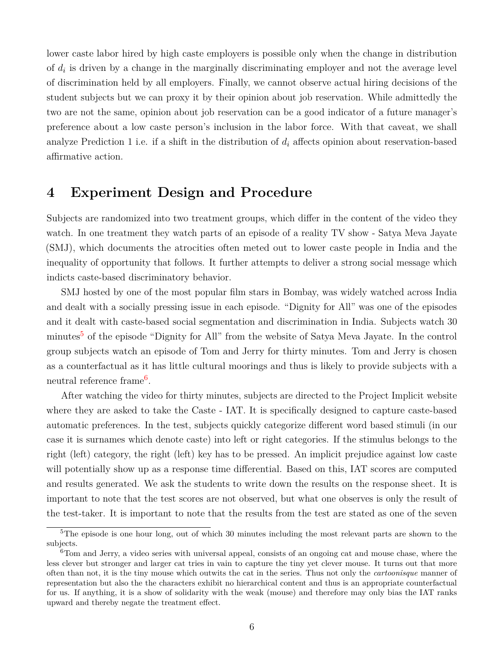lower caste labor hired by high caste employers is possible only when the change in distribution of *d<sup>i</sup>* is driven by a change in the marginally discriminating employer and not the average level of discrimination held by all employers. Finally, we cannot observe actual hiring decisions of the student subjects but we can proxy it by their opinion about job reservation. While admittedly the two are not the same, opinion about job reservation can be a good indicator of a future manager's preference about a low caste person's inclusion in the labor force. With that caveat, we shall analyze Prediction 1 i.e. if a shift in the distribution of  $d_i$  affects opinion about reservation-based affirmative action.

## **4 Experiment Design and Procedure**

Subjects are randomized into two treatment groups, which differ in the content of the video they watch. In one treatment they watch parts of an episode of a reality TV show - Satya Meva Jayate (SMJ), which documents the atrocities often meted out to lower caste people in India and the inequality of opportunity that follows. It further attempts to deliver a strong social message which indicts caste-based discriminatory behavior.

SMJ hosted by one of the most popular film stars in Bombay, was widely watched across India and dealt with a socially pressing issue in each episode. "Dignity for All" was one of the episodes and it dealt with caste-based social segmentation and discrimination in India. Subjects watch 30 minutes<sup>[5](#page--1-0)</sup> of the episode "Dignity for All" from the website of Satya Meva Jayate. In the control group subjects watch an episode of Tom and Jerry for thirty minutes. Tom and Jerry is chosen as a counterfactual as it has little cultural moorings and thus is likely to provide subjects with a neutral reference frame<sup>[6](#page--1-0)</sup>.

After watching the video for thirty minutes, subjects are directed to the Project Implicit website where they are asked to take the Caste - IAT. It is specifically designed to capture caste-based automatic preferences. In the test, subjects quickly categorize different word based stimuli (in our case it is surnames which denote caste) into left or right categories. If the stimulus belongs to the right (left) category, the right (left) key has to be pressed. An implicit prejudice against low caste will potentially show up as a response time differential. Based on this, IAT scores are computed and results generated. We ask the students to write down the results on the response sheet. It is important to note that the test scores are not observed, but what one observes is only the result of the test-taker. It is important to note that the results from the test are stated as one of the seven

<sup>&</sup>lt;sup>5</sup>The episode is one hour long, out of which 30 minutes including the most relevant parts are shown to the subjects.

<sup>6</sup>Tom and Jerry, a video series with universal appeal, consists of an ongoing cat and mouse chase, where the less clever but stronger and larger cat tries in vain to capture the tiny yet clever mouse. It turns out that more often than not, it is the tiny mouse which outwits the cat in the series. Thus not only the *cartoonisque* manner of representation but also the the characters exhibit no hierarchical content and thus is an appropriate counterfactual for us. If anything, it is a show of solidarity with the weak (mouse) and therefore may only bias the IAT ranks upward and thereby negate the treatment effect.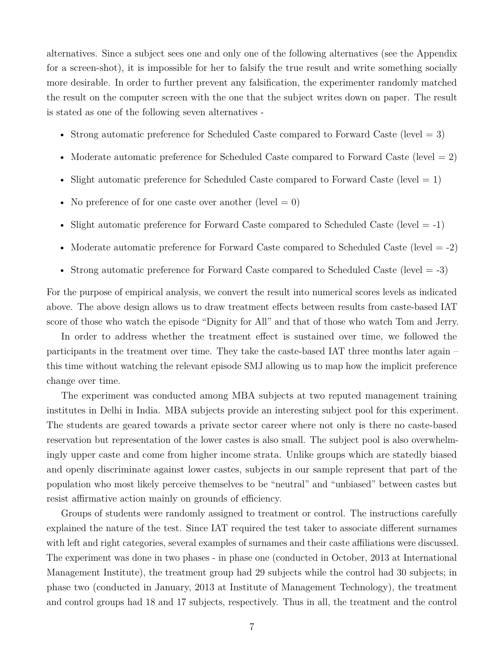alternatives. Since a subject sees one and only one of the following alternatives (see the Appendix for a screen-shot), it is impossible for her to falsify the true result and write something socially more desirable. In order to further prevent any falsification, the experimenter randomly matched the result on the computer screen with the one that the subject writes down on paper. The result is stated as one of the following seven alternatives -

- Strong automatic preference for Scheduled Caste compared to Forward Caste (level = 3)
- Moderate automatic preference for Scheduled Caste compared to Forward Caste (level = 2)
- Slight automatic preference for Scheduled Caste compared to Forward Caste (level  $= 1$ )
- No preference of for one caste over another (level  $= 0$ )
- Slight automatic preference for Forward Caste compared to Scheduled Caste (level  $= -1$ )
- Moderate automatic preference for Forward Caste compared to Scheduled Caste (level = -2)
- Strong automatic preference for Forward Caste compared to Scheduled Caste (level  $= -3$ )

For the purpose of empirical analysis, we convert the result into numerical scores levels as indicated above. The above design allows us to draw treatment effects between results from caste-based IAT score of those who watch the episode "Dignity for All" and that of those who watch Tom and Jerry.

In order to address whether the treatment effect is sustained over time, we followed the participants in the treatment over time. They take the caste-based IAT three months later again – this time without watching the relevant episode SMJ allowing us to map how the implicit preference change over time.

The experiment was conducted among MBA subjects at two reputed management training institutes in Delhi in India. MBA subjects provide an interesting subject pool for this experiment. The students are geared towards a private sector career where not only is there no caste-based reservation but representation of the lower castes is also small. The subject pool is also overwhelmingly upper caste and come from higher income strata. Unlike groups which are statedly biased and openly discriminate against lower castes, subjects in our sample represent that part of the population who most likely perceive themselves to be "neutral" and "unbiased" between castes but resist affirmative action mainly on grounds of efficiency.

Groups of students were randomly assigned to treatment or control. The instructions carefully explained the nature of the test. Since IAT required the test taker to associate different surnames with left and right categories, several examples of surnames and their caste affiliations were discussed. The experiment was done in two phases - in phase one (conducted in October, 2013 at International Management Institute), the treatment group had 29 subjects while the control had 30 subjects; in phase two (conducted in January, 2013 at Institute of Management Technology), the treatment and control groups had 18 and 17 subjects, respectively. Thus in all, the treatment and the control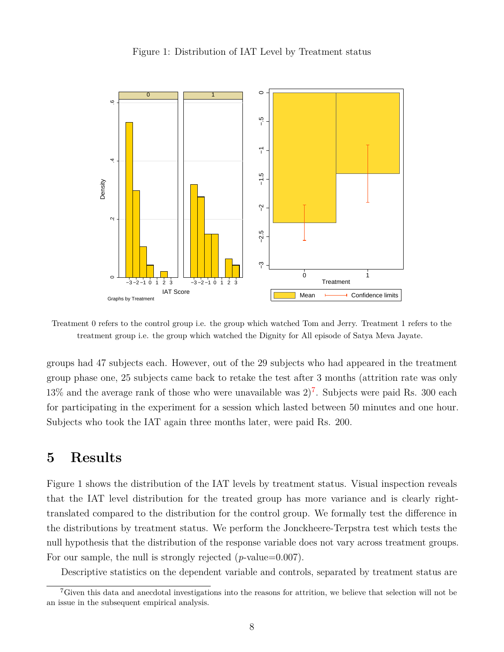### Figure 1: Distribution of IAT Level by Treatment status



Treatment 0 refers to the control group i.e. the group which watched Tom and Jerry. Treatment 1 refers to the treatment group i.e. the group which watched the Dignity for All episode of Satya Meva Jayate.

groups had 47 subjects each. However, out of the 29 subjects who had appeared in the treatment group phase one, 25 subjects came back to retake the test after 3 months (attrition rate was only 13% and the average rank of those who were unavailable was  $2^{\prime}$ . Subjects were paid Rs. 300 each for participating in the experiment for a session which lasted between 50 minutes and one hour. Subjects who took the IAT again three months later, were paid Rs. 200.

# **5 Results**

Figure 1 shows the distribution of the IAT levels by treatment status. Visual inspection reveals that the IAT level distribution for the treated group has more variance and is clearly righttranslated compared to the distribution for the control group. We formally test the difference in the distributions by treatment status. We perform the Jonckheere-Terpstra test which tests the null hypothesis that the distribution of the response variable does not vary across treatment groups. For our sample, the null is strongly rejected (*p*-value=0.007).

Descriptive statistics on the dependent variable and controls, separated by treatment status are

<sup>&</sup>lt;sup>7</sup>Given this data and anecdotal investigations into the reasons for attrition, we believe that selection will not be an issue in the subsequent empirical analysis.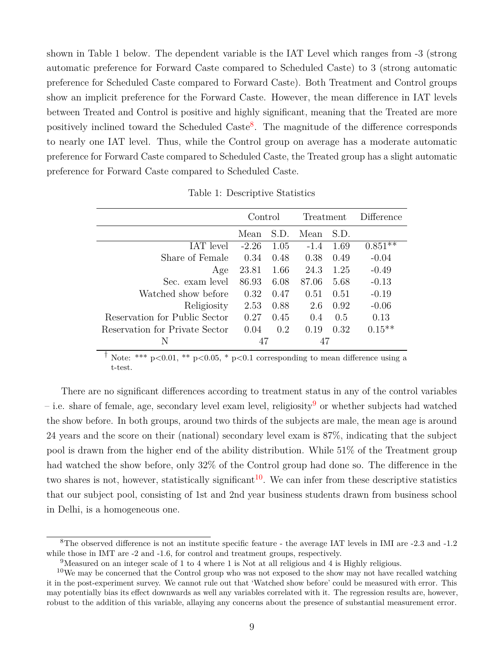shown in Table 1 below. The dependent variable is the IAT Level which ranges from -3 (strong automatic preference for Forward Caste compared to Scheduled Caste) to 3 (strong automatic preference for Scheduled Caste compared to Forward Caste). Both Treatment and Control groups show an implicit preference for the Forward Caste. However, the mean difference in IAT levels between Treated and Control is positive and highly significant, meaning that the Treated are more positively inclined toward the Scheduled Caste<sup>[8](#page--1-0)</sup>. The magnitude of the difference corresponds to nearly one IAT level. Thus, while the Control group on average has a moderate automatic preference for Forward Caste compared to Scheduled Caste, the Treated group has a slight automatic preference for Forward Caste compared to Scheduled Caste.

|                                | Control |      | Treatment |      | Difference |
|--------------------------------|---------|------|-----------|------|------------|
|                                | Mean    | S.D. | Mean      | S.D. |            |
| <b>IAT</b> level               | $-2.26$ | 1.05 | $-1.4$    | 1.69 | $0.851**$  |
| Share of Female                | 0.34    | 0.48 | 0.38      | 0.49 | $-0.04$    |
| Age                            | 23.81   | 1.66 | 24.3      | 1.25 | $-0.49$    |
| Sec. exam level                | 86.93   | 6.08 | 87.06     | 5.68 | $-0.13$    |
| Watched show before            | 0.32    | 0.47 | 0.51      | 0.51 | $-0.19$    |
| Religiosity                    | 2.53    | 0.88 | 2.6       | 0.92 | $-0.06$    |
| Reservation for Public Sector  | 0.27    | 0.45 | 0.4       | 0.5  | 0.13       |
| Reservation for Private Sector | 0.04    | 0.2  | 0.19      | 0.32 | $0.15**$   |
| N                              | 47      |      |           |      |            |

Table 1: Descriptive Statistics

<sup>†</sup> Note: \*\*\* p<0.01, \*\* p<0.05, \* p<0.1 corresponding to mean difference using a t-test.

There are no significant differences according to treatment status in any of the control variables – i.e. share of female, age, secondary level exam level, religiosity<sup>[9](#page--1-0)</sup> or whether subjects had watched the show before. In both groups, around two thirds of the subjects are male, the mean age is around 24 years and the score on their (national) secondary level exam is 87%, indicating that the subject pool is drawn from the higher end of the ability distribution. While 51% of the Treatment group had watched the show before, only 32% of the Control group had done so. The difference in the two shares is not, however, statistically significant<sup>[10](#page--1-0)</sup>. We can infer from these descriptive statistics that our subject pool, consisting of 1st and 2nd year business students drawn from business school in Delhi, is a homogeneous one.

 ${}^{8}$ The observed difference is not an institute specific feature - the average IAT levels in IMI are -2.3 and -1.2 while those in IMT are  $-2$  and  $-1.6$ , for control and treatment groups, respectively.

<sup>9</sup>Measured on an integer scale of 1 to 4 where 1 is Not at all religious and 4 is Highly religious.

<sup>&</sup>lt;sup>10</sup>We may be concerned that the Control group who was not exposed to the show may not have recalled watching it in the post-experiment survey. We cannot rule out that 'Watched show before' could be measured with error. This may potentially bias its effect downwards as well any variables correlated with it. The regression results are, however, robust to the addition of this variable, allaying any concerns about the presence of substantial measurement error.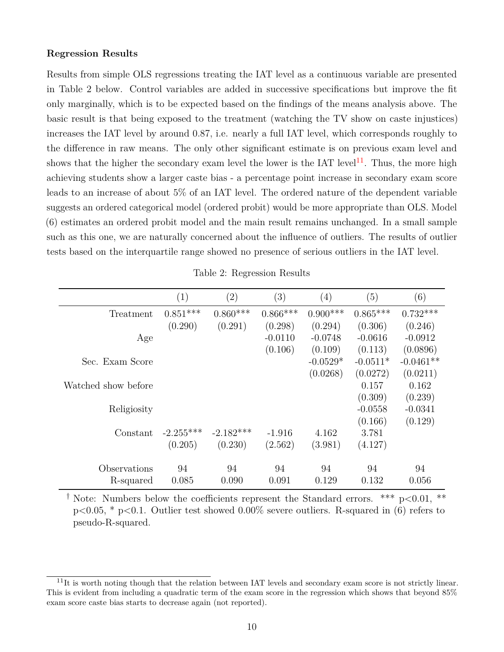### **Regression Results**

Results from simple OLS regressions treating the IAT level as a continuous variable are presented in Table 2 below. Control variables are added in successive specifications but improve the fit only marginally, which is to be expected based on the findings of the means analysis above. The basic result is that being exposed to the treatment (watching the TV show on caste injustices) increases the IAT level by around 0.87, i.e. nearly a full IAT level, which corresponds roughly to the difference in raw means. The only other significant estimate is on previous exam level and shows that the higher the secondary exam level the lower is the IAT level<sup>[11](#page--1-0)</sup>. Thus, the more high achieving students show a larger caste bias - a percentage point increase in secondary exam score leads to an increase of about 5% of an IAT level. The ordered nature of the dependent variable suggests an ordered categorical model (ordered probit) would be more appropriate than OLS. Model (6) estimates an ordered probit model and the main result remains unchanged. In a small sample such as this one, we are naturally concerned about the influence of outliers. The results of outlier tests based on the interquartile range showed no presence of serious outliers in the IAT level.

|  |  | Table 2: Regression Results |  |
|--|--|-----------------------------|--|
|--|--|-----------------------------|--|

<span id="page-11-0"></span>

|                     | (1)         | $\left( 2\right)$ | (3)        | (4)        | (5)        | (6)         |
|---------------------|-------------|-------------------|------------|------------|------------|-------------|
| Treatment           | $0.851***$  | $0.860***$        | $0.866***$ | $0.900***$ | $0.865***$ | $0.732***$  |
|                     | (0.290)     | (0.291)           | (0.298)    | (0.294)    | (0.306)    | (0.246)     |
| Age                 |             |                   | $-0.0110$  | $-0.0748$  | $-0.0616$  | $-0.0912$   |
|                     |             |                   | (0.106)    | (0.109)    | (0.113)    | (0.0896)    |
| Sec. Exam Score     |             |                   |            | $-0.0529*$ | $-0.0511*$ | $-0.0461**$ |
|                     |             |                   |            | (0.0268)   | (0.0272)   | (0.0211)    |
| Watched show before |             |                   |            |            | 0.157      | 0.162       |
|                     |             |                   |            |            | (0.309)    | (0.239)     |
| Religiosity         |             |                   |            |            | $-0.0558$  | $-0.0341$   |
|                     |             |                   |            |            | (0.166)    | (0.129)     |
| Constant            | $-2.255***$ | $-2.182***$       | $-1.916$   | 4.162      | 3.781      |             |
|                     | (0.205)     | (0.230)           | (2.562)    | (3.981)    | (4.127)    |             |
| Observations        | 94          | 94                | 94         | 94         | 94         | 94          |
| R-squared           | 0.085       | 0.090             | 0.091      | 0.129      | 0.132      | 0.056       |

<sup> $\dagger$ </sup> Note: Numbers below the coefficients represent the Standard errors. \*\*\* p<0.01, \*\*  $p<0.05$ , \*  $p<0.1$ . Outlier test showed 0.00% severe outliers. R-squared in (6) refers to pseudo-R-squared.

 $11$ It is worth noting though that the relation between IAT levels and secondary exam score is not strictly linear. This is evident from including a quadratic term of the exam score in the regression which shows that beyond 85% exam score caste bias starts to decrease again (not reported).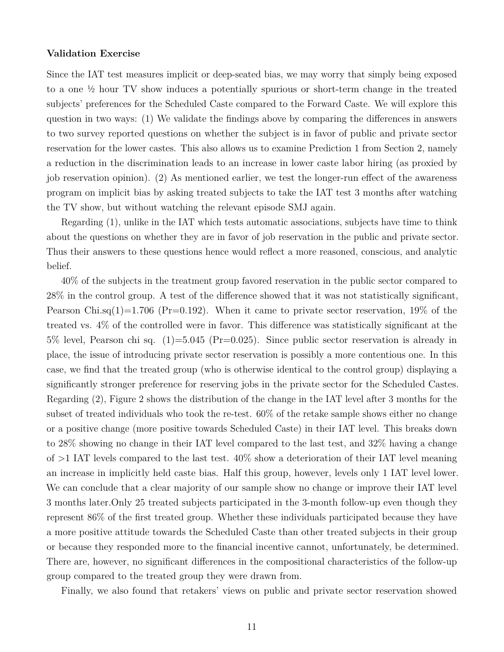### **Validation Exercise**

Since the IAT test measures implicit or deep-seated bias, we may worry that simply being exposed to a one ½ hour TV show induces a potentially spurious or short-term change in the treated subjects' preferences for the Scheduled Caste compared to the Forward Caste. We will explore this question in two ways: (1) We validate the findings above by comparing the differences in answers to two survey reported questions on whether the subject is in favor of public and private sector reservation for the lower castes. This also allows us to examine Prediction 1 from Section 2, namely a reduction in the discrimination leads to an increase in lower caste labor hiring (as proxied by job reservation opinion). (2) As mentioned earlier, we test the longer-run effect of the awareness program on implicit bias by asking treated subjects to take the IAT test 3 months after watching the TV show, but without watching the relevant episode SMJ again.

Regarding (1), unlike in the IAT which tests automatic associations, subjects have time to think about the questions on whether they are in favor of job reservation in the public and private sector. Thus their answers to these questions hence would reflect a more reasoned, conscious, and analytic belief.

40% of the subjects in the treatment group favored reservation in the public sector compared to 28% in the control group. A test of the difference showed that it was not statistically significant, Pearson Chi.sq(1)=1.706 (Pr=0.192). When it came to private sector reservation, 19% of the treated vs. 4% of the controlled were in favor. This difference was statistically significant at the  $5\%$  level, Pearson chi sq.  $(1)=5.045$  (Pr=0.025). Since public sector reservation is already in place, the issue of introducing private sector reservation is possibly a more contentious one. In this case, we find that the treated group (who is otherwise identical to the control group) displaying a significantly stronger preference for reserving jobs in the private sector for the Scheduled Castes. Regarding (2), Figure 2 shows the distribution of the change in the IAT level after 3 months for the subset of treated individuals who took the re-test. 60% of the retake sample shows either no change or a positive change (more positive towards Scheduled Caste) in their IAT level. This breaks down to 28% showing no change in their IAT level compared to the last test, and 32% having a change of  $>1$  IAT levels compared to the last test.  $40\%$  show a deterioration of their IAT level meaning an increase in implicitly held caste bias. Half this group, however, levels only 1 IAT level lower. We can conclude that a clear majority of our sample show no change or improve their IAT level 3 months later.Only 25 treated subjects participated in the 3-month follow-up even though they represent 86% of the first treated group. Whether these individuals participated because they have a more positive attitude towards the Scheduled Caste than other treated subjects in their group or because they responded more to the financial incentive cannot, unfortunately, be determined. There are, however, no significant differences in the compositional characteristics of the follow-up group compared to the treated group they were drawn from.

Finally, we also found that retakers' views on public and private sector reservation showed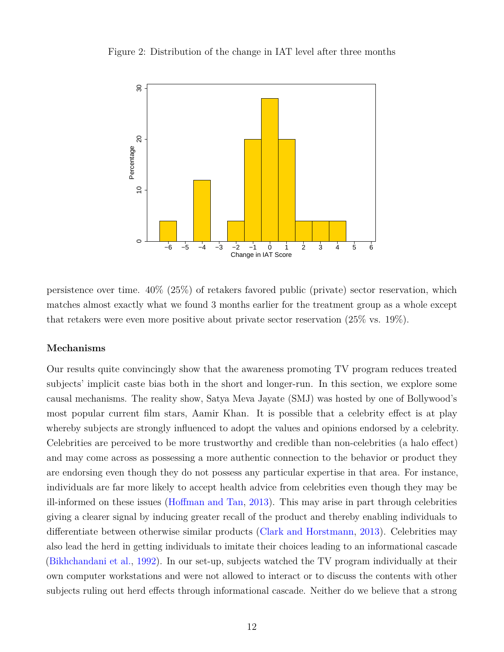### Figure 2: Distribution of the change in IAT level after three months



persistence over time. 40% (25%) of retakers favored public (private) sector reservation, which matches almost exactly what we found 3 months earlier for the treatment group as a whole except that retakers were even more positive about private sector reservation (25% vs. 19%).

## **Mechanisms**

Our results quite convincingly show that the awareness promoting TV program reduces treated subjects' implicit caste bias both in the short and longer-run. In this section, we explore some causal mechanisms. The reality show, Satya Meva Jayate (SMJ) was hosted by one of Bollywood's most popular current film stars, Aamir Khan. It is possible that a celebrity effect is at play whereby subjects are strongly influenced to adopt the values and opinions endorsed by a celebrity. Celebrities are perceived to be more trustworthy and credible than non-celebrities (a halo effect) and may come across as possessing a more authentic connection to the behavior or product they are endorsing even though they do not possess any particular expertise in that area. For instance, individuals are far more likely to accept health advice from celebrities even though they may be ill-informed on these issues [\(Hoffman and Tan,](#page-17-10) [2013\)](#page-17-10). This may arise in part through celebrities giving a clearer signal by inducing greater recall of the product and thereby enabling individuals to differentiate between otherwise similar products [\(Clark and Horstmann,](#page-17-11) [2013\)](#page-17-11). Celebrities may also lead the herd in getting individuals to imitate their choices leading to an informational cascade [\(Bikhchandani et al.,](#page-16-7) [1992\)](#page-16-7). In our set-up, subjects watched the TV program individually at their own computer workstations and were not allowed to interact or to discuss the contents with other subjects ruling out herd effects through informational cascade. Neither do we believe that a strong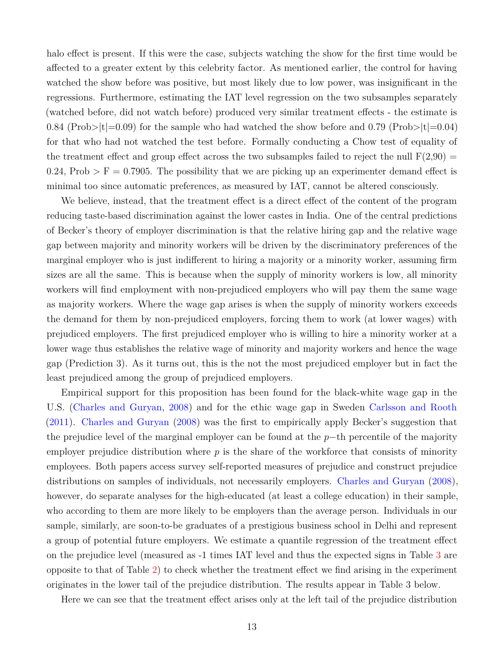halo effect is present. If this were the case, subjects watching the show for the first time would be affected to a greater extent by this celebrity factor. As mentioned earlier, the control for having watched the show before was positive, but most likely due to low power, was insignificant in the regressions. Furthermore, estimating the IAT level regression on the two subsamples separately (watched before, did not watch before) produced very similar treatment effects - the estimate is 0.84 (Prob $>|t|=0.09$ ) for the sample who had watched the show before and 0.79 (Prob $>|t|=0.04$ ) for that who had not watched the test before. Formally conducting a Chow test of equality of the treatment effect and group effect across the two subsamples failed to reject the null  $F(2,90) =$ 0.24, Prob  $>$  F = 0.7905. The possibility that we are picking up an experimenter demand effect is minimal too since automatic preferences, as measured by IAT, cannot be altered consciously.

We believe, instead, that the treatment effect is a direct effect of the content of the program reducing taste-based discrimination against the lower castes in India. One of the central predictions of Becker's theory of employer discrimination is that the relative hiring gap and the relative wage gap between majority and minority workers will be driven by the discriminatory preferences of the marginal employer who is just indifferent to hiring a majority or a minority worker, assuming firm sizes are all the same. This is because when the supply of minority workers is low, all minority workers will find employment with non-prejudiced employers who will pay them the same wage as majority workers. Where the wage gap arises is when the supply of minority workers exceeds the demand for them by non-prejudiced employers, forcing them to work (at lower wages) with prejudiced employers. The first prejudiced employer who is willing to hire a minority worker at a lower wage thus establishes the relative wage of minority and majority workers and hence the wage gap (Prediction 3). As it turns out, this is the not the most prejudiced employer but in fact the least prejudiced among the group of prejudiced employers.

Empirical support for this proposition has been found for the black-white wage gap in the U.S. [\(Charles and Guryan,](#page-17-1) [2008\)](#page-17-1) and for the ethic wage gap in Sweden [Carlsson and Rooth](#page-16-2) [\(2011\)](#page-16-2). [Charles and Guryan](#page-17-1) [\(2008\)](#page-17-1) was the first to empirically apply Becker's suggestion that the prejudice level of the marginal employer can be found at the *p*−th percentile of the majority employer prejudice distribution where  $p$  is the share of the workforce that consists of minority employees. Both papers access survey self-reported measures of prejudice and construct prejudice distributions on samples of individuals, not necessarily employers. [Charles and Guryan](#page-17-1) [\(2008\)](#page-17-1), however, do separate analyses for the high-educated (at least a college education) in their sample, who according to them are more likely to be employers than the average person. Individuals in our sample, similarly, are soon-to-be graduates of a prestigious business school in Delhi and represent a group of potential future employers. We estimate a quantile regression of the treatment effect on the prejudice level (measured as -1 times IAT level and thus the expected signs in Table [3](#page-15-0) are opposite to that of Table [2\)](#page-11-0) to check whether the treatment effect we find arising in the experiment originates in the lower tail of the prejudice distribution. The results appear in Table 3 below.

Here we can see that the treatment effect arises only at the left tail of the prejudice distribution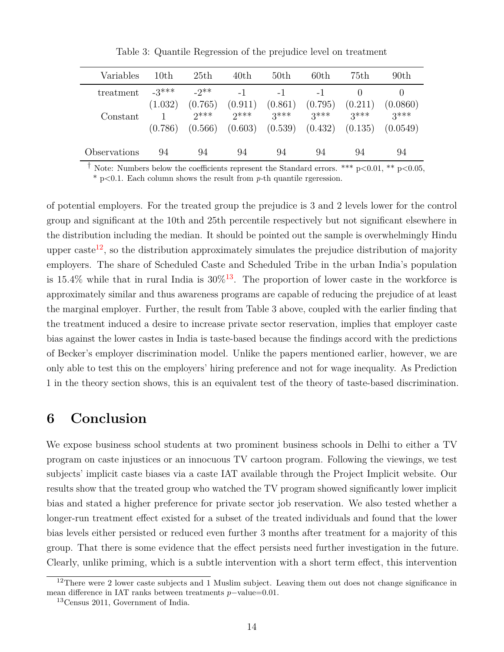<span id="page-15-0"></span>

| Variables    | 10th    | 25th              | 40th              | 50th              | 60th              | 75th              | 90 <sub>th</sub>   |
|--------------|---------|-------------------|-------------------|-------------------|-------------------|-------------------|--------------------|
| treatment    | $-3***$ | $-2**$            |                   | -1                |                   |                   |                    |
|              | (1.032) | (0.765)<br>$2***$ | (0.911)<br>$2***$ | (0.861)<br>$2***$ | (0.795)<br>$2***$ | (0.211)<br>$2***$ | (0.0860)<br>$2***$ |
| Constant     | (0.786) |                   |                   |                   |                   |                   |                    |
|              |         | (0.566)           | (0.603)           | (0.539)           | (0.432)           | (0.135)           | (0.0549)           |
| Observations | 94      | 94                | 94                | 94                | 94                | 94                | 94                 |

Table 3: Quantile Regression of the prejudice level on treatment

<sup>†</sup> Note: Numbers below the coefficients represent the Standard errors. \*\*\* p<0.01, \*\* p<0.05, \* p<0.1. Each column shows the result from *p-*th quantile rgeression.

of potential employers. For the treated group the prejudice is 3 and 2 levels lower for the control group and significant at the 10th and 25th percentile respectively but not significant elsewhere in the distribution including the median. It should be pointed out the sample is overwhelmingly Hindu upper caste<sup>[12](#page--1-0)</sup>, so the distribution approximately simulates the prejudice distribution of majority employers. The share of Scheduled Caste and Scheduled Tribe in the urban India's population is 15.4% while that in rural India is  $30\%$ <sup>[13](#page--1-0)</sup>. The proportion of lower caste in the workforce is approximately similar and thus awareness programs are capable of reducing the prejudice of at least the marginal employer. Further, the result from Table 3 above, coupled with the earlier finding that the treatment induced a desire to increase private sector reservation, implies that employer caste bias against the lower castes in India is taste-based because the findings accord with the predictions of Becker's employer discrimination model. Unlike the papers mentioned earlier, however, we are only able to test this on the employers' hiring preference and not for wage inequality. As Prediction 1 in the theory section shows, this is an equivalent test of the theory of taste-based discrimination.

# **6 Conclusion**

We expose business school students at two prominent business schools in Delhi to either a TV program on caste injustices or an innocuous TV cartoon program. Following the viewings, we test subjects' implicit caste biases via a caste IAT available through the Project Implicit website. Our results show that the treated group who watched the TV program showed significantly lower implicit bias and stated a higher preference for private sector job reservation. We also tested whether a longer-run treatment effect existed for a subset of the treated individuals and found that the lower bias levels either persisted or reduced even further 3 months after treatment for a majority of this group. That there is some evidence that the effect persists need further investigation in the future. Clearly, unlike priming, which is a subtle intervention with a short term effect, this intervention

 $12$ There were 2 lower caste subjects and 1 Muslim subject. Leaving them out does not change significance in mean difference in IAT ranks between treatments *p*−value=0.01.

<sup>13</sup>Census 2011, Government of India.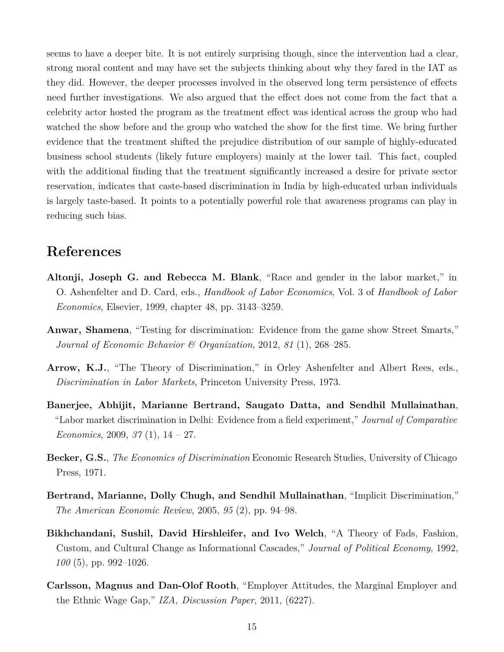seems to have a deeper bite. It is not entirely surprising though, since the intervention had a clear, strong moral content and may have set the subjects thinking about why they fared in the IAT as they did. However, the deeper processes involved in the observed long term persistence of effects need further investigations. We also argued that the effect does not come from the fact that a celebrity actor hosted the program as the treatment effect was identical across the group who had watched the show before and the group who watched the show for the first time. We bring further evidence that the treatment shifted the prejudice distribution of our sample of highly-educated business school students (likely future employers) mainly at the lower tail. This fact, coupled with the additional finding that the treatment significantly increased a desire for private sector reservation, indicates that caste-based discrimination in India by high-educated urban individuals is largely taste-based. It points to a potentially powerful role that awareness programs can play in reducing such bias.

# **References**

- <span id="page-16-1"></span>**Altonji, Joseph G. and Rebecca M. Blank**, "Race and gender in the labor market," in O. Ashenfelter and D. Card, eds., *Handbook of Labor Economics*, Vol. 3 of *Handbook of Labor Economics*, Elsevier, 1999, chapter 48, pp. 3143–3259.
- <span id="page-16-4"></span>**Anwar, Shamena**, "Testing for discrimination: Evidence from the game show Street Smarts," *Journal of Economic Behavior & Organization*, 2012, *81* (1), 268–285.
- <span id="page-16-6"></span>**Arrow, K.J.**, "The Theory of Discrimination," in Orley Ashenfelter and Albert Rees, eds., *Discrimination in Labor Markets*, Princeton University Press, 1973.
- <span id="page-16-3"></span>**Banerjee, Abhijit, Marianne Bertrand, Saugato Datta, and Sendhil Mullainathan**, "Labor market discrimination in Delhi: Evidence from a field experiment," *Journal of Comparative Economics*, 2009, *37* (1), 14 – 27.
- <span id="page-16-0"></span>**Becker, G.S.**, *The Economics of Discrimination* Economic Research Studies, University of Chicago Press, 1971.
- <span id="page-16-5"></span>**Bertrand, Marianne, Dolly Chugh, and Sendhil Mullainathan**, "Implicit Discrimination," *The American Economic Review*, 2005, *95* (2), pp. 94–98.
- <span id="page-16-7"></span>**Bikhchandani, Sushil, David Hirshleifer, and Ivo Welch**, "A Theory of Fads, Fashion, Custom, and Cultural Change as Informational Cascades," *Journal of Political Economy*, 1992, *100* (5), pp. 992–1026.
- <span id="page-16-2"></span>**Carlsson, Magnus and Dan-Olof Rooth**, "Employer Attitudes, the Marginal Employer and the Ethnic Wage Gap," *IZA, Discussion Paper*, 2011, (6227).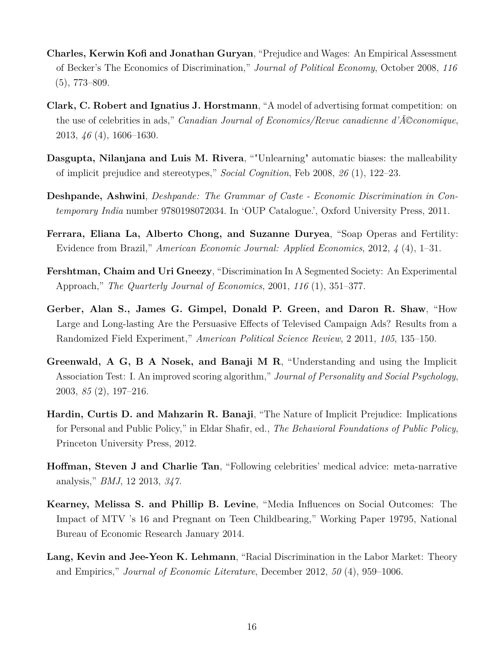- <span id="page-17-1"></span>**Charles, Kerwin Kofi and Jonathan Guryan**, "Prejudice and Wages: An Empirical Assessment of Becker's The Economics of Discrimination," *Journal of Political Economy*, October 2008, *116* (5), 773–809.
- <span id="page-17-11"></span>**Clark, C. Robert and Ignatius J. Horstmann**, "A model of advertising format competition: on the use of celebrities in ads," *Canadian Journal of Economics/Revue canadienne d'économique*, 2013, *46* (4), 1606–1630.
- <span id="page-17-6"></span>**Dasgupta, Nilanjana and Luis M. Rivera**, ""Unlearning" automatic biases: the malleability of implicit prejudice and stereotypes," *Social Cognition*, Feb 2008, *26* (1), 122–23.
- <span id="page-17-0"></span>**Deshpande, Ashwini**, *Deshpande: The Grammar of Caste - Economic Discrimination in Contemporary India* number 9780198072034. In 'OUP Catalogue.', Oxford University Press, 2011.
- <span id="page-17-3"></span>**Ferrara, Eliana La, Alberto Chong, and Suzanne Duryea**, "Soap Operas and Fertility: Evidence from Brazil," *American Economic Journal: Applied Economics*, 2012, *4* (4), 1–31.
- <span id="page-17-2"></span>**Fershtman, Chaim and Uri Gneezy**, "Discrimination In A Segmented Society: An Experimental Approach," *The Quarterly Journal of Economics*, 2001, *116* (1), 351–377.
- <span id="page-17-5"></span>**Gerber, Alan S., James G. Gimpel, Donald P. Green, and Daron R. Shaw**, "How Large and Long-lasting Are the Persuasive Effects of Televised Campaign Ads? Results from a Randomized Field Experiment," *American Political Science Review*, 2 2011, *105*, 135–150.
- <span id="page-17-7"></span>**Greenwald, A G, B A Nosek, and Banaji M R**, "Understanding and using the Implicit Association Test: I. An improved scoring algorithm," *Journal of Personality and Social Psychology*, 2003, *85* (2), 197–216.
- <span id="page-17-8"></span>**Hardin, Curtis D. and Mahzarin R. Banaji**, "The Nature of Implicit Prejudice: Implications for Personal and Public Policy," in Eldar Shafir, ed., *The Behavioral Foundations of Public Policy*, Princeton University Press, 2012.
- <span id="page-17-10"></span>**Hoffman, Steven J and Charlie Tan**, "Following celebrities' medical advice: meta-narrative analysis," *BMJ*, 12 2013, *347.*
- <span id="page-17-4"></span>**Kearney, Melissa S. and Phillip B. Levine**, "Media Influences on Social Outcomes: The Impact of MTV 's 16 and Pregnant on Teen Childbearing," Working Paper 19795, National Bureau of Economic Research January 2014.
- <span id="page-17-9"></span>**Lang, Kevin and Jee-Yeon K. Lehmann**, "Racial Discrimination in the Labor Market: Theory and Empirics," *Journal of Economic Literature*, December 2012, *50* (4), 959–1006.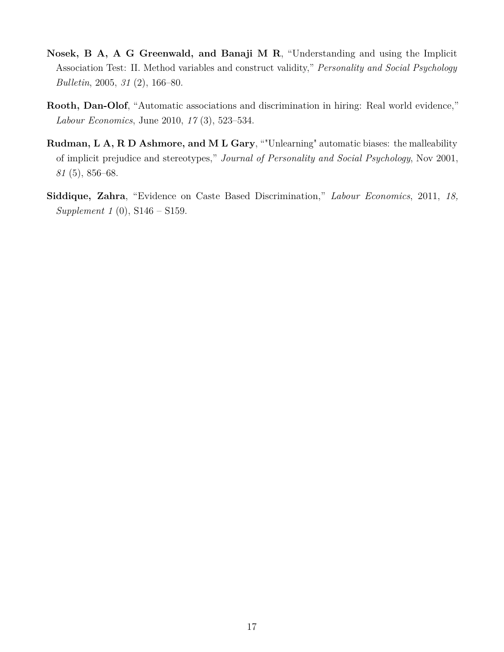- <span id="page-18-3"></span>**Nosek, B A, A G Greenwald, and Banaji M R**, "Understanding and using the Implicit Association Test: II. Method variables and construct validity," *Personality and Social Psychology Bulletin*, 2005, *31* (2), 166–80.
- <span id="page-18-2"></span>**Rooth, Dan-Olof**, "Automatic associations and discrimination in hiring: Real world evidence," *Labour Economics*, June 2010, *17* (3), 523–534.
- <span id="page-18-0"></span>**Rudman, L A, R D Ashmore, and M L Gary**, ""Unlearning" automatic biases: the malleability of implicit prejudice and stereotypes," *Journal of Personality and Social Psychology*, Nov 2001, *81* (5), 856–68.
- <span id="page-18-1"></span>**Siddique, Zahra**, "Evidence on Caste Based Discrimination," *Labour Economics*, 2011, *18, Supplement 1* (0), S146 – S159.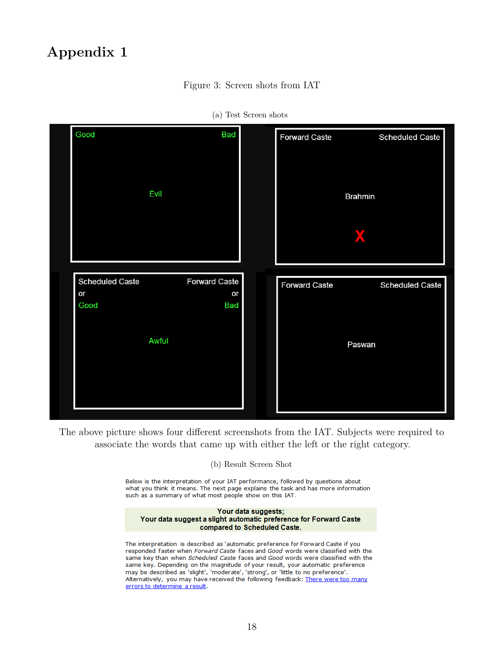# **Appendix 1**

## Figure 3: Screen shots from IAT



(a) Test Screen shots

The above picture shows four different screenshots from the IAT. Subjects were required to associate the words that came up with either the left or the right category.

### (b) Result Screen Shot

Below is the interpretation of your IAT performance, followed by questions about what you think it means. The next page explains the task and has more information such as a summary of what most people show on this IAT.

#### Your data suggests: Your data suggest a slight automatic preference for Forward Caste compared to Scheduled Caste.

The interpretation is described as 'automatic preference for Forward Caste if you responded faster when Forward Caste faces and Good words were classified with the same key than when Scheduled Caste faces and Good words were classified with the same key. Depending on the magnitude of your result, your automatic preference may be described as 'slight', 'moderate', 'strong', or 'little to no preference'. Alternatively, you may have received the following feedback: There were too many errors to determine a result.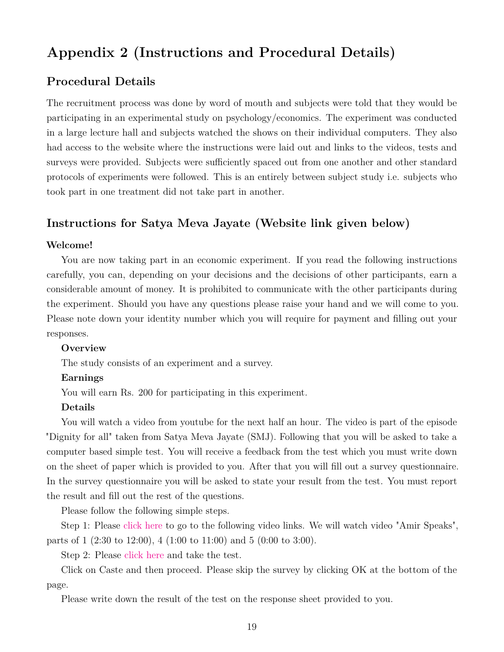# **Appendix 2 (Instructions and Procedural Details)**

## **Procedural Details**

The recruitment process was done by word of mouth and subjects were told that they would be participating in an experimental study on psychology/economics. The experiment was conducted in a large lecture hall and subjects watched the shows on their individual computers. They also had access to the website where the instructions were laid out and links to the videos, tests and surveys were provided. Subjects were sufficiently spaced out from one another and other standard protocols of experiments were followed. This is an entirely between subject study i.e. subjects who took part in one treatment did not take part in another.

## **Instructions for Satya Meva Jayate (Website link given below)**

## **Welcome!**

You are now taking part in an economic experiment. If you read the following instructions carefully, you can, depending on your decisions and the decisions of other participants, earn a considerable amount of money. It is prohibited to communicate with the other participants during the experiment. Should you have any questions please raise your hand and we will come to you. Please note down your identity number which you will require for payment and filling out your responses.

## **Overview**

The study consists of an experiment and a survey.

### **Earnings**

You will earn Rs. 200 for participating in this experiment.

## **Details**

You will watch a video from youtube for the next half an hour. The video is part of the episode "Dignity for all" taken from Satya Meva Jayate (SMJ). Following that you will be asked to take a computer based simple test. You will receive a feedback from the test which you must write down on the sheet of paper which is provided to you. After that you will fill out a survey questionnaire. In the survey questionnaire you will be asked to state your result from the test. You must report the result and fill out the rest of the questions.

Please follow the following simple steps.

Step 1: Please [click here](http://www.satyamevjayate.in/untouchability/untouchability.aspx) to go to the following video links. We will watch video "Amir Speaks", parts of 1 (2:30 to 12:00), 4 (1:00 to 11:00) and 5 (0:00 to 3:00).

Step 2: Please [click here](https://implicit.harvard.edu/implicit/india/selectatest.jsp) and take the test.

Click on Caste and then proceed. Please skip the survey by clicking OK at the bottom of the page.

Please write down the result of the test on the response sheet provided to you.